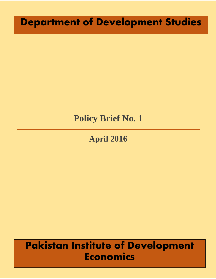# **Department of Development Studies**

## **Policy Brief No. 1**

# **April 2016**

# **Pakistan Institute of Development Economics**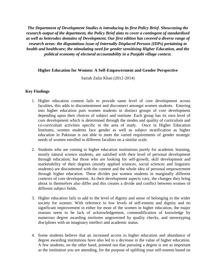*The Department of Development Studies is introducing its first Policy Brief. Showcasing the research output of the department, the Policy Brief aims to cover a contingent of standardised as well as heterodox domains of Development. Our first edition has covered a diverse range of research areas: the disputatious issue of Internally Displaced Persons (IDPs) pertaining to health and healthcare; the stimulating need for gender sensitising Higher Education, and the political economy of electoral accountability in a Punjabi village context.*

#### **Higher Education for Women: A Self-Empowerment and Gender Perspective**

Sairah Zafar Khan (2012-2014)

#### **Key Findings**

- 1. Higher education content fails to provide same level of core development across faculties, this adds to discontentment and disconnect amongst women students. Entering into higher education puts women students in distinct groups of core development depending upon their choices of subject and institute. Each group has its own level of core development which is determined through the modes and quality of curriculum and co-curriculum activities specific to the area of study. Once in Higher Education Institutes, women students face gender as well as subject stratification as higher education in Pakistan is not able to meet the varied requirements of gender strategic needs of women enrolled in different faculties on a similar scale.
- 2. Students who are coming to higher education institutions purely for academic learning, mostly natural science students, are satisfied with their level of personal development through education; but those who are looking for self-growth, skill development and marketability of their degrees (mostly applied sciences, social sciences and linguistic students) are discontented with the content and the whole idea of personal empowerment through higher education. These divides put women students in marginally different contexts of core development. As their development aspects vary, the changes they bring about in themselves also differ and this creates a divide and conflict between women of different subject fields.
- 3. Higher education fails to add to the level of dignity and sense of belonging to the wider society for women. With reference to low levels of self-esteem and dignity and no significant improvement in either for most of the women in higher education, the major reasons seem to be lack of acknowledgement, commodification of knowledge by numerous degree awarding institutes ungoverned by quality checks, and stereotyping disciplines with an imaginary intellect and academic status.
- 4. Some students believe that an increased access to higher education and abundance of degree awarding institutions have also led to a decrease in the value of higher education. A few students, on the other hand, pointed out that pursuing a degree is not as important as the institution you are attending, for the purpose of uplifting your self-esteem based on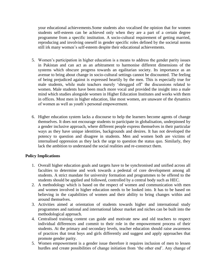your educational achievements.Some students also vocalised the opinion that for women students self-esteem can be achieved only when they are a part of a certain degree programme from a specific institution. A socio-cultural requirement of getting married, reproducing and involving oneself in gender specific roles defined by the societal norms still irk many women's self-esteem despite their educational achievements.

- 5. Women's participation in higher education is a means to address the gender parity issues in Pakistan and can act as an arbitrament to harmonise different dimensions of the systems which obscure progress towards an egalitarian society. Its importance as an avenue to bring about change in socio-cultural settings cannot be discounted. The feeling of being prejudiced against is expressed heartily by the men. This is especially true for male students, while male teachers merely 'shrugged off' the discussions related to women. Male students have been much more vocal and provided the insight into a male mind which studies alongside women in Higher Education Institutes and works with them in offices. Most men in higher education, like most women, are unaware of the dynamics of women as well as youth's personal empowerment.
- 6. Higher education system lacks a discourse to help the learners become agents of change themselves. It does not encourage students to participate in globalisation, underpinned by a gender inclusive approach, where different people express themselves in their particular ways as they have unique identities, backgrounds and desires. It has not developed the potency to question and disagree in students. Men and women both are victims of internalised oppression as they lack the urge to question the status quo. Similarly, they lack the ambition to understand the social realities and re-construct them.

#### **Policy Implications**

- 1. Overall higher education goals and targets have to be synchronised and unified across all faculties to determine and work towards a pedestal of core development among all students. A strict mandate for university formation and programmes to be offered to the students should be applied and followed, controlled by a central body such as HEC.
- 2. A methodology which is based on the respect of women and communication with men and women involved in higher education needs to be looked into. It has to be based on believing in the capabilities of women and their ability to bring changes within and around themselves.
- 3. Activities aimed at orientation of students towards higher and international study programmes and national and international labour market and niches can be built into the methodological approach.
- 4. Centralised training content can guide and motivate new and old teachers to respect individual differences and commit to their role in the empowerment process of their students. At the primary and secondary levels, teacher education should raise awareness of practices that treat boys and girls differently and suggest and apply approaches that promote gender parity.
- 5. Women empowerment is a gender issue therefore it requires inclusion of men to lessen hurdles and create possibilities of change initiation from 'the other end'. Any change of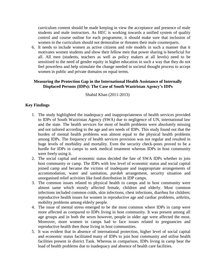curriculum content should be made keeping in view the acceptance and presence of male students and male instructors. As HEC is working towards a unified system of quality control and course outline for each programme, it should make sure that inclusion of women in the curriculum should not demoralise or threaten their male counterparts.

6. It needs to include women as active citizens and role models in such a manner that it motivates women students and show their fellow men that power sharing is beneficial for all. All men (students, teachers as well as policy makers at all levels) need to be sensitised to the need of gender equity in higher education in such a way that they do not feel powerless and help stimulate the change needed in societal thought process to accept women in public and private domains on equal terms.

#### **Measuring the Protection Gap in the International Health Assistance of Internally Displaced Persons (IDPs): The Case of South Waziristan Agency's IDPs**

Shahid Khan (2011-2013)

### **Key Findings**

- 1. The study highlighted the inadequacy and inappropriateness of health services provided to IDPs of South Waziristan Agency (SWA) due to negligence of UN, international law and the state. The health services for most of health problems were absolutely missing and not tailored according to the age and sex needs of IDPs. This study found out that the burden of mental health problems was almost equal to the physical health problems among IDPs. The frequency of health services provision was not regular and resulted in huge levels of morbidity and mortality. Even the security check-posts proved to be a hurdle for IDPs in camps to seek medical treatment whereas IDPs in host community were freely using it.
- 2. The social capital and economic status decided the fate of SWA IDPs whether to join host community or camp. The IDPs with low level of economic status and social capital joined camp and became the victims of inadequate and inappropriate arrangements of accommodation, water and sanitation, *purdah* arrangement, security situation and unorganised relief activities like food distribution in IDP camps.
- 3. The common issues related to physical health in camps and in host community were almost same which mostly affected female, children and elderly. Most common infections included common colds, skin infections, chest infections, diarrhea for children; reproductive health issues for women in reproductive age and cardiac problems, arthritis, mobility problems among elderly people.
- 4. The issue of mental stress emerged to be the most common where IDPs in camp were more affected as compared to IDPs living in host community. It was present among all age groups and in both the sexes however, people in older age were affected the most. Moreover, more women in camps had to face issues related to pregnancies and reproductive health then those living in host communities.
- 5. It was evident that in absence of international protection, higher level of social capital and economic status facilitated many of IDPs to join host community and utilise health facilities present in district Tank. Whereas in comparison, IDPs living in camp bear the load of health problems due to inadequacy and absence of health care facilities.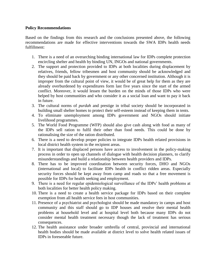#### **Policy Recommendations**

Based on the findings from this research and the conclusions presented above, the following recommendations are made for effective interventions towards the SWA IDPs health needs fulfillment:

- 1. There is a need of an overarching binding international law for IDPs complete protection encircling shelter and health by binding UN, INGOs and national governments.
- 2. The support and protection provided to IDPs at both localities during displacement by relatives, friends, fellow tribesmen and host community should be acknowledged and they should be paid back by government or any other concerned institution. Although it is improper from the cultural point of view, it would be of great help for them as they are already overburdened by expenditures form last five years since the start of the armed conflict. Moreover, it would lessen the burden on the minds of those IDPs who were helped by host communities and who consider it as a social loan and want to pay it back in future.
- 3. The cultural norms of *purdah* and prestige in tribal society should be incorporated in building small shelter homes to protect their self-esteem instead of keeping them in tents.
- 4. To eliminate unemployment among IDPs government and NGOs should initiate livelihood programmes.
- 5. The World Food Programme (WFP) should also give cash along with food as many of the IDPs sell ration to fulfil their other than food needs. This could be done by rationalising the size of the ration distributed.
- 6. There is a need to develop proper policies to integrate IDPs health related provisions in local district health system in the recipient areas.
- 7. It is important that displaced persons have access to involvement in the policy-making process in order to open up channels of dialogue with health decision planners, to clarify misunderstandings and build a relationship between health providers and IDPs.
- 8. There has to be improved coordination between security forces, DHO and NGOs (international and local) to facilitate IDPs health in conflict ridden areas. Especially security forces should be kept away from camp and roads so that a free movement is possible for IDPs for health seeking and employment.
- 9. There is a need for regular epidemiological surveillance of the IDPs' health problems at both localities for better health policy making.
- 10. There is a need to create a health service package for IDPs based on their complete exemption from all health service fees in host communities.
- 11. Presence of a psychiatrist and psychologist should be made mandatory in camps and host community and this staff should go to IDP houses and resolve their mental health problems at household level and at hospital level both because many IDPs do not consider mental health treatment necessary though the lack of treatment has serious consequences.
- 12. The health assistance under broader umbrella of central, provincial and international health bodies should be made available at district level to solve health related issues of IDPs in foreseeable future.